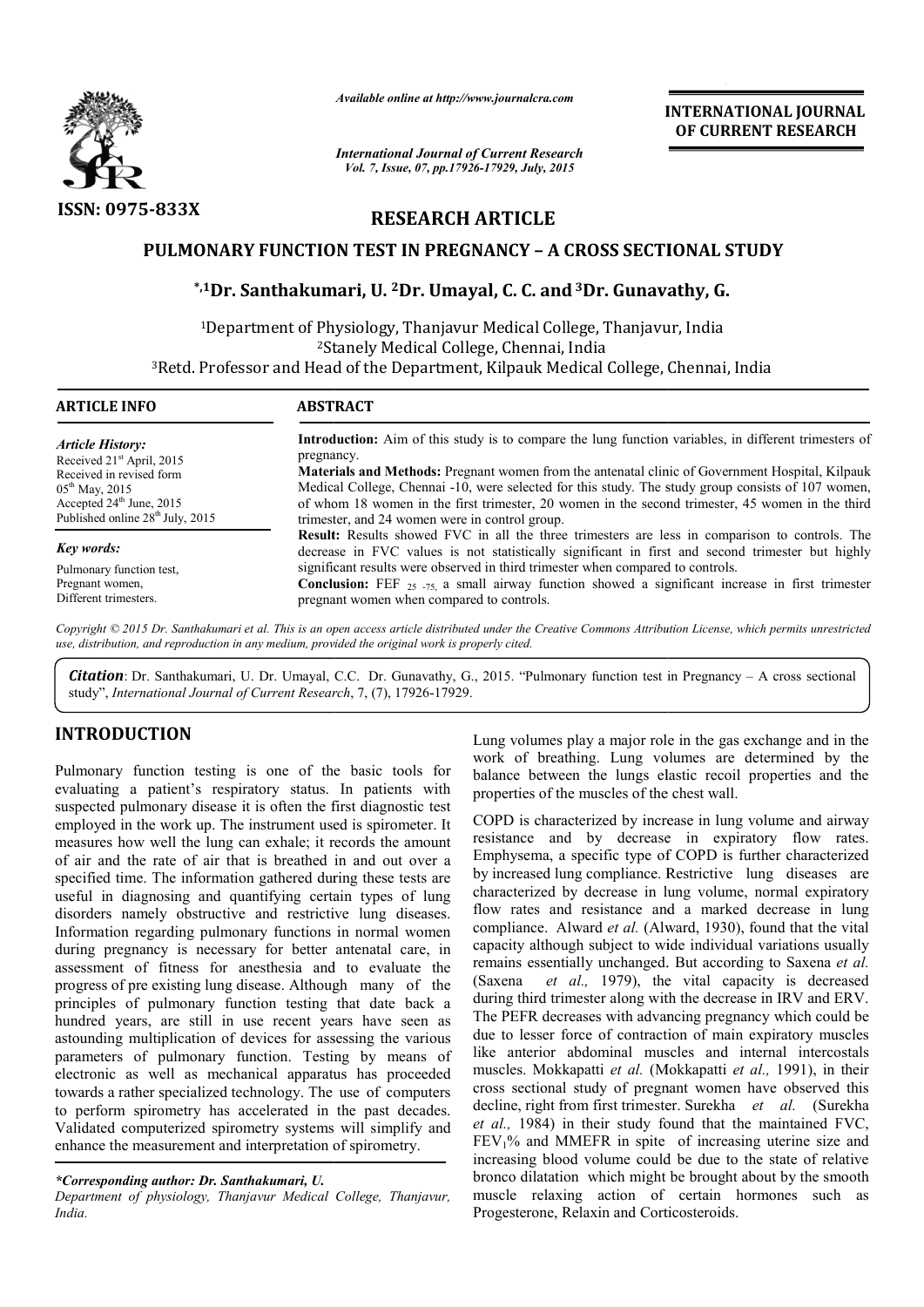

*Available online at http://www.journalcra.com*

*International Journal of Current Research Vol. 7, Issue, 07, pp.17926-17929, July, 2015*

**INTERNATIONAL INTERNATIONAL JOURNAL OF CURRENT RESEARCH** 

# **RESEARCH ARTICLE**

# **PULMONARY FUNCTION TEST IN PREGNANCY – A CROSS SECTIONAL STUDY**

# ONARY FUNCTION TEST IN PREGNANCY - A CROSS SECTIONAL **:**<br>\*,1Dr. Santhakumari, U. <sup>2</sup>Dr. Umayal, C. C. and <sup>3</sup>Dr. Gunavathy, G.

<sup>1</sup>Department of Physiology, Thanjavur Medical College, Thanjavur, India 2St Stanely Medical College, Chennai, India <sup>3</sup>Retd. Professor and Head of the Department, Kilpauk Medical College, Chennai, India

| <b>ARTICLE INFO</b>                          | <b>ABSTRACT</b>                                                                                                                                                                                           |  |  |  |
|----------------------------------------------|-----------------------------------------------------------------------------------------------------------------------------------------------------------------------------------------------------------|--|--|--|
| Article History:                             | <b>Introduction:</b> Aim of this study is to compare the lung function variables, in different trimesters of                                                                                              |  |  |  |
| Received 21 <sup>st</sup> April, 2015        | pregnancy.                                                                                                                                                                                                |  |  |  |
| Received in revised form                     | <b>Materials and Methods:</b> Pregnant women from the antenatal clinic of Government Hospital, Kilpauk                                                                                                    |  |  |  |
| $05^{\text{th}}$ May, 2015                   | Medical College, Chennai -10, were selected for this study. The study group consists of 107 women,                                                                                                        |  |  |  |
| Accepted 24 <sup>th</sup> June, 2015         | of whom 18 women in the first trimester, 20 women in the second trimester, 45 women in the third                                                                                                          |  |  |  |
| Published online 28 <sup>th</sup> July, 2015 | trimester, and 24 women were in control group.                                                                                                                                                            |  |  |  |
| Key words:                                   | <b>Result:</b> Results showed FVC in all the three trimesters are less in comparison to controls. The<br>decrease in FVC values is not statistically significant in first and second trimester but highly |  |  |  |
| Pulmonary function test,                     | significant results were observed in third trimester when compared to controls.                                                                                                                           |  |  |  |
| Pregnant women,                              | <b>Conclusion:</b> FEF $_{25}$ $_{75}$ a small airway function showed a significant increase in first trimester                                                                                           |  |  |  |
| Different trimesters.                        | pregnant women when compared to controls.                                                                                                                                                                 |  |  |  |

Copyright © 2015 Dr. Santhakumari et al. This is an open access article distributed under the Creative Commons Attribution License, which permits unrestrictea *use, distribution, and reproduction in any medium, provided the original work is properly cited.*

Citation: Dr. Santhakumari, U. Dr. Umayal, C.C. Dr. Gunavathy, G., 2015. "Pulmonary function test in Pregnancy - A cross sectional study", *International Journal of Current Research* , 7, (7), 17926-17929.

# **INTRODUCTION**

Pulmonary function testing is one of the basic tools for evaluating a patient's respiratory status. In patients with suspected pulmonary disease it is often the first diagnostic test employed in the work up. The instrument used is spirometer. It measures how well the lung can exhale; it records the amount of air and the rate of air that is breathed in and out over a specified time. The information gathered during these tests are useful in diagnosing and quantifying certain types of lung disorders namely obstructive and restrictive lung diseases. Information regarding pulmonary functions in normal women during pregnancy is necessary for better antenatal care, in assessment of fitness for anesthesia and to evaluate the progress of pre existing lung disease. Although many of the principles of pulmonary function testing that date back a hundred years, are still in use recent years have seen as astounding multiplication of devices for assessing the various parameters of pulmonary function. Testing by means of electronic as well as mechanical apparatus has proceeded towards a rather specialized technology. The use of computers to perform spirometry has accelerated in the past decades. Validated computerized spirometry systems will simplify and enhance the measurement and interpretation of spirometry. ow tructive ectronic ment Lung volumes play a major role in the gas exchange and in the

## *\*Corresponding author: Dr. Santhakumari, U.*

*Department of physiology, Thanjavur Medical College, Thanjavur, India.*

Lung volumes play a major role in the gas exchange and in the work of breathing. Lung volumes are determined by the balance between the lungs elastic recoil properties and the properties of the muscles of the chest wall. properties of the muscles of the chest wall.

COPD is characterized by increase in lung volume and airway resistance and by decrease in expiratory flow rates. Emphysema, a specific type of COPD is further characterized by increased lung compliance. Restrictive lung diseases are characterized by decrease in lung volume, normal expiratory flow rates and resistance and a marked decrease in lung compliance. Alward *et al.* (Alward, 1930), found that the vital capacity although subject to wide individual variations usually capacity although subject to wide individual variations usually remains essentially unchanged. But according to Saxena et al. (Saxena *et al.,* 1979), the vital capacity is decreased during third trimester along with the decrease in IRV and ERV. The PEFR decreases with advancing pregnancy which could be due to lesser force of contraction of main expiratory muscles like anterior abdominal muscles and internal intercostals muscles. Mokkapatti *et al.* (Mokkapatti *et al.,* 1991), in their cross sectional study of pregnant women have observed this cross sectional study of pregnant women have observed this decline, right from first trimester. Surekha *et al.* (Surekha *et al.,* 1984) in their study found that the maintained FVC, *et al.*, 1984) in their study found that the maintained FVC,  $FEV_1\%$  and MMEFR in spite of increasing uterine size and increasing blood volume could be due to the state of relative bronco dilatation which might be brought about by the smooth muscle relaxing action of certain hormones such as Progesterone, Relaxin and Corticosteroids. characterized by increase in lung volume and airway and by decrease in expiratory flow rates.<br>ma, a specific type of COPD is further characterized ed lung compliance. Restrictive lung diseases are zed by decrease in lung v *et al.*, 1979), the vital capacity is decreased in timester along with the decrease in IRV and ERV. decreases with advancing pregnancy which could be or force of contraction of main expiratory muscles or abdominal muscles **INTERNATIONAL JOURNAL OF COVERTS (SEE ASSEMBATE ASSEMBATE AND AND A COURRENT RESEARCH Duty, 2015<br>
CLE T<br>
Y - A CROSS SECTIONAL STUDY<br>
C. and <sup>3</sup>Dr. Gunavathy, G.<br>
cal College, Thanjavur, India<br>
ennai, India<br>
ennai, India**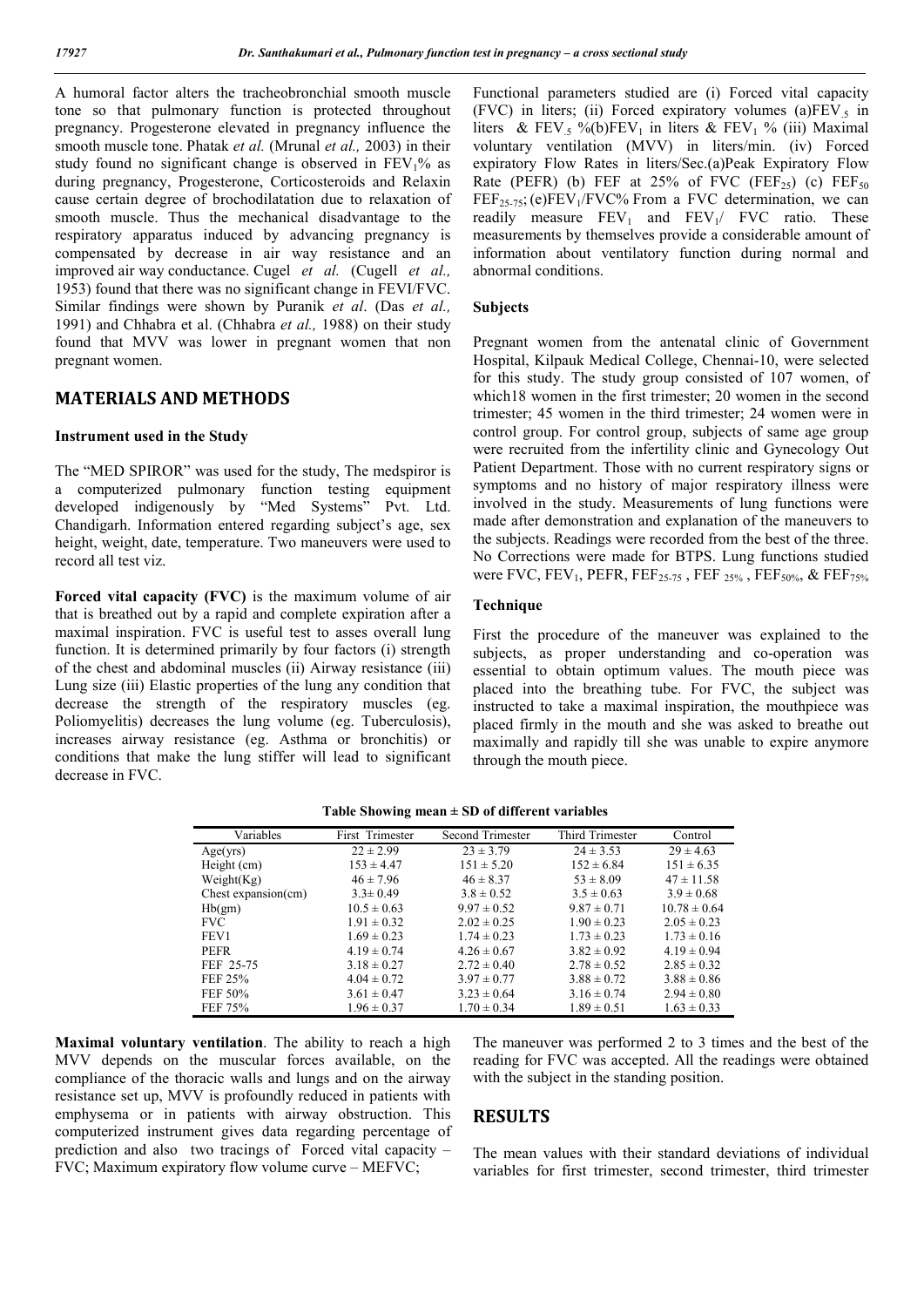A humoral factor alters the tracheobronchial smooth muscle tone so that pulmonary function is protected throughout pregnancy. Progesterone elevated in pregnancy influence the smooth muscle tone. Phatak *et al.* (Mrunal *et al.,* 2003) in their study found no significant change is observed in  $FEV<sub>1</sub>%$  as during pregnancy, Progesterone, Corticosteroids and Relaxin cause certain degree of brochodilatation due to relaxation of smooth muscle. Thus the mechanical disadvantage to the respiratory apparatus induced by advancing pregnancy is compensated by decrease in air way resistance and an improved air way conductance. Cugel *et al.* (Cugell *et al.,* 1953) found that there was no significant change in FEVI/FVC. Similar findings were shown by Puranik *et al*. (Das *et al.,* 1991) and Chhabra et al. (Chhabra *et al.,* 1988) on their study found that MVV was lower in pregnant women that non pregnant women.

# **MATERIALS AND METHODS**

#### **Instrument used in the Study**

The "MED SPIROR" was used for the study, The medspiror is a computerized pulmonary function testing equipment developed indigenously by "Med Systems" Pvt. Ltd. Chandigarh. Information entered regarding subject's age, sex height, weight, date, temperature. Two maneuvers were used to record all test viz.

**Forced vital capacity (FVC)** is the maximum volume of air that is breathed out by a rapid and complete expiration after a maximal inspiration. FVC is useful test to asses overall lung function. It is determined primarily by four factors (i) strength of the chest and abdominal muscles (ii) Airway resistance (iii) Lung size (iii) Elastic properties of the lung any condition that decrease the strength of the respiratory muscles (eg. Poliomyelitis) decreases the lung volume (eg. Tuberculosis), increases airway resistance (eg. Asthma or bronchitis) or conditions that make the lung stiffer will lead to significant decrease in FVC.

Functional parameters studied are (i) Forced vital capacity (FVC) in liters; (ii) Forced expiratory volumes (a) $FEV<sub>5</sub>$  in liters & FEV<sub>5</sub> %(b)FEV<sub>1</sub> in liters & FEV<sub>1</sub> % (iii) Maximal voluntary ventilation (MVV) in liters/min. (iv) Forced expiratory Flow Rates in liters/Sec.(a)Peak Expiratory Flow Rate (PEFR) (b) FEF at  $25\%$  of FVC (FEF<sub>25</sub>) (c) FEF<sub>50</sub>  $FEF_{25-75}$ ; (e)FEV<sub>1</sub>/FVC% From a FVC determination, we can readily measure  $FEV_1$  and  $FEV_1$   $FVC$  ratio. These measurements by themselves provide a considerable amount of information about ventilatory function during normal and abnormal conditions.

#### **Subjects**

Pregnant women from the antenatal clinic of Government Hospital, Kilpauk Medical College, Chennai-10, were selected for this study. The study group consisted of 107 women, of which18 women in the first trimester; 20 women in the second trimester; 45 women in the third trimester; 24 women were in control group. For control group, subjects of same age group were recruited from the infertility clinic and Gynecology Out Patient Department. Those with no current respiratory signs or symptoms and no history of major respiratory illness were involved in the study. Measurements of lung functions were made after demonstration and explanation of the maneuvers to the subjects. Readings were recorded from the best of the three. No Corrections were made for BTPS. Lung functions studied were FVC, FEV<sub>1</sub>, PEFR, FEF<sub>25-75</sub>, FEF<sub>25%</sub>, FEF<sub>50%</sub>, & FEF<sub>75%</sub>

#### **Technique**

First the procedure of the maneuver was explained to the subjects, as proper understanding and co-operation was essential to obtain optimum values. The mouth piece was placed into the breathing tube. For FVC, the subject was instructed to take a maximal inspiration, the mouthpiece was placed firmly in the mouth and she was asked to breathe out maximally and rapidly till she was unable to expire anymore through the mouth piece.

| Variables              | First Trimester | Second Trimester | <b>Third Trimester</b> | Control          |
|------------------------|-----------------|------------------|------------------------|------------------|
| Age(yrs)               | $22 \pm 2.99$   | $23 \pm 3.79$    | $24 \pm 3.53$          | $29 \pm 4.63$    |
| Height (cm)            | $153 \pm 4.47$  | $151 \pm 5.20$   | $152 \pm 6.84$         | $151 \pm 6.35$   |
| Weight $(Kg)$          | $46 \pm 7.96$   | $46 \pm 8.37$    | $53 \pm 8.09$          | $47 \pm 11.58$   |
| Chest expansion $(cm)$ | $3.3 \pm 0.49$  | $3.8 \pm 0.52$   | $3.5 \pm 0.63$         | $3.9 \pm 0.68$   |
| Hb(gm)                 | $10.5 \pm 0.63$ | $9.97 \pm 0.52$  | $9.87 \pm 0.71$        | $10.78 \pm 0.64$ |
| <b>FVC</b>             | $1.91 \pm 0.32$ | $2.02 \pm 0.25$  | $1.90 \pm 0.23$        | $2.05 \pm 0.23$  |
| FEV1                   | $1.69 \pm 0.23$ | $1.74 \pm 0.23$  | $1.73 \pm 0.23$        | $1.73 \pm 0.16$  |
| <b>PEFR</b>            | $4.19 \pm 0.74$ | $4.26 \pm 0.67$  | $3.82 \pm 0.92$        | $4.19 \pm 0.94$  |
| FEF 25-75              | $3.18 \pm 0.27$ | $2.72 \pm 0.40$  | $2.78 \pm 0.52$        | $2.85 \pm 0.32$  |
| FEF 25%                | $4.04 \pm 0.72$ | $3.97 \pm 0.77$  | $3.88 \pm 0.72$        | $3.88 \pm 0.86$  |
| FEF 50%                | $3.61 \pm 0.47$ | $3.23 \pm 0.64$  | $3.16 \pm 0.74$        | $2.94 \pm 0.80$  |
| FEF 75%                | $1.96 \pm 0.37$ | $1.70 \pm 0.34$  | $1.89 \pm 0.51$        | $1.63 \pm 0.33$  |

| Table Showing mean $\pm$ SD of different variables |  |  |  |
|----------------------------------------------------|--|--|--|
|----------------------------------------------------|--|--|--|

**Maximal voluntary ventilation**. The ability to reach a high MVV depends on the muscular forces available, on the compliance of the thoracic walls and lungs and on the airway resistance set up, MVV is profoundly reduced in patients with emphysema or in patients with airway obstruction. This computerized instrument gives data regarding percentage of prediction and also two tracings of Forced vital capacity – FVC; Maximum expiratory flow volume curve – MEFVC;

The maneuver was performed 2 to 3 times and the best of the reading for FVC was accepted. All the readings were obtained with the subject in the standing position.

## **RESULTS**

The mean values with their standard deviations of individual variables for first trimester, second trimester, third trimester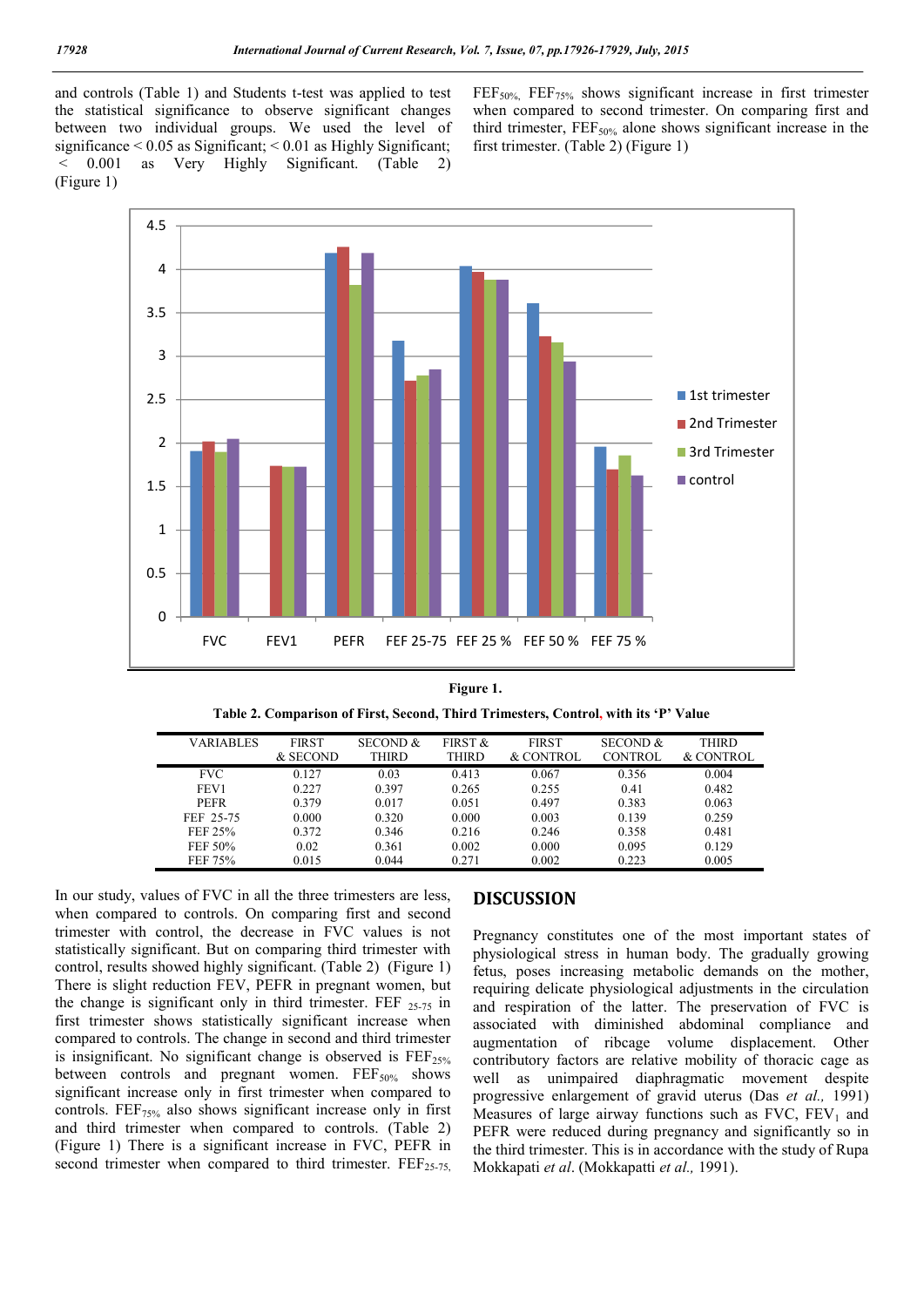and controls (Table 1) and Students t-test was applied to test the statistical significance to observe significant changes between two individual groups. We used the level of significance  $\leq 0.05$  as Significant;  $\leq 0.01$  as Highly Significant; < 0.001 as Very Highly Significant. (Table 2) (Figure 1)

FEF<sub>50%</sub>, FEF<sub>75%</sub> shows significant increase in first trimester when compared to second trimester. On comparing first and third trimester,  $FEF_{50\%}$  alone shows significant increase in the first trimester. (Table 2) (Figure 1)



**Figure 1.**

|  |  | Table 2. Comparison of First, Second, Third Trimesters, Control, with its 'P' Value |  |  |
|--|--|-------------------------------------------------------------------------------------|--|--|
|  |  |                                                                                     |  |  |

| <b>VARIABLES</b> | <b>FIRST</b><br>& SECOND | <b>SECOND &amp;</b><br>THIRD | FIRST &<br><b>THIRD</b> | <b>FIRST</b><br>& CONTROL | <b>SECOND &amp;</b><br><b>CONTROL</b> | <b>THIRD</b><br>& CONTROL |
|------------------|--------------------------|------------------------------|-------------------------|---------------------------|---------------------------------------|---------------------------|
| <b>FVC</b>       | 0.127                    | 0.03                         | 0.413                   | 0.067                     | 0.356                                 | 0.004                     |
| FEV1             | 0.227                    | 0.397                        | 0.265                   | 0.255                     | 0.41                                  | 0.482                     |
| <b>PEFR</b>      | 0.379                    | 0.017                        | 0.051                   | 0.497                     | 0.383                                 | 0.063                     |
| FEF 25-75        | 0.000                    | 0.320                        | 0.000                   | 0.003                     | 0.139                                 | 0.259                     |
| FEF 25%          | 0.372                    | 0.346                        | 0.216                   | 0.246                     | 0.358                                 | 0.481                     |
| FEF 50%          | 0.02                     | 0.361                        | 0.002                   | 0.000                     | 0.095                                 | 0.129                     |
| FEF 75%          | 0.015                    | 0.044                        | 0.271                   | 0.002                     | 0.223                                 | 0.005                     |

In our study, values of FVC in all the three trimesters are less, when compared to controls. On comparing first and second trimester with control, the decrease in FVC values is not statistically significant. But on comparing third trimester with control, results showed highly significant. (Table 2) (Figure 1) There is slight reduction FEV, PEFR in pregnant women, but the change is significant only in third trimester. FEF  $_{25-75}$  in first trimester shows statistically significant increase when compared to controls. The change in second and third trimester is insignificant. No significant change is observed is  $FEF_{25\%}$ between controls and pregnant women.  $FEF<sub>50%</sub>$  shows significant increase only in first trimester when compared to controls.  $FEF<sub>75%</sub>$  also shows significant increase only in first and third trimester when compared to controls. (Table 2) (Figure 1) There is a significant increase in FVC, PEFR in second trimester when compared to third trimester.  $\text{FEF}_{25-75}$ 

## **DISCUSSION**

Pregnancy constitutes one of the most important states of physiological stress in human body. The gradually growing fetus, poses increasing metabolic demands on the mother, requiring delicate physiological adjustments in the circulation and respiration of the latter. The preservation of FVC is associated with diminished abdominal compliance and augmentation of ribcage volume displacement. Other contributory factors are relative mobility of thoracic cage as well as unimpaired diaphragmatic movement despite progressive enlargement of gravid uterus (Das *et al.,* 1991) Measures of large airway functions such as  $FVC$ ,  $FEV<sub>1</sub>$  and PEFR were reduced during pregnancy and significantly so in the third trimester. This is in accordance with the study of Rupa Mokkapati *et al*. (Mokkapatti *et al.,* 1991).